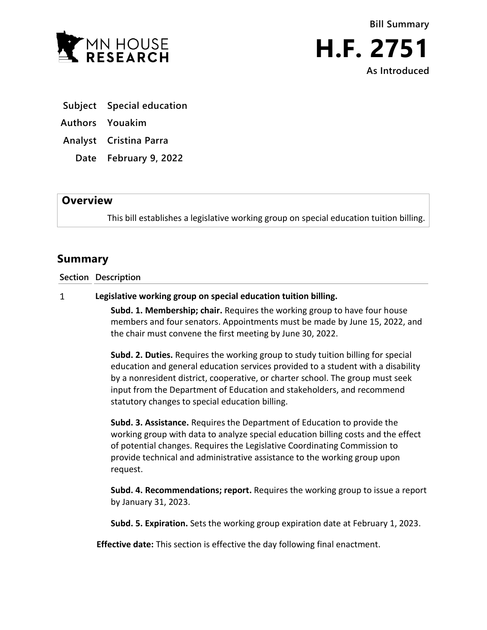



- **Subject Special education**
- **Authors Youakim**
- **Analyst Cristina Parra**
	- **Date February 9, 2022**

## **Overview**

This bill establishes a legislative working group on special education tuition billing.

## **Summary**

## **Section Description**

## $\mathbf{1}$ **Legislative working group on special education tuition billing.**

**Subd. 1. Membership; chair.** Requires the working group to have four house members and four senators. Appointments must be made by June 15, 2022, and the chair must convene the first meeting by June 30, 2022.

**Subd. 2. Duties.** Requires the working group to study tuition billing for special education and general education services provided to a student with a disability by a nonresident district, cooperative, or charter school. The group must seek input from the Department of Education and stakeholders, and recommend statutory changes to special education billing.

**Subd. 3. Assistance.** Requires the Department of Education to provide the working group with data to analyze special education billing costs and the effect of potential changes. Requires the Legislative Coordinating Commission to provide technical and administrative assistance to the working group upon request.

**Subd. 4. Recommendations; report.** Requires the working group to issue a report by January 31, 2023.

**Subd. 5. Expiration.** Sets the working group expiration date at February 1, 2023.

**Effective date:** This section is effective the day following final enactment.